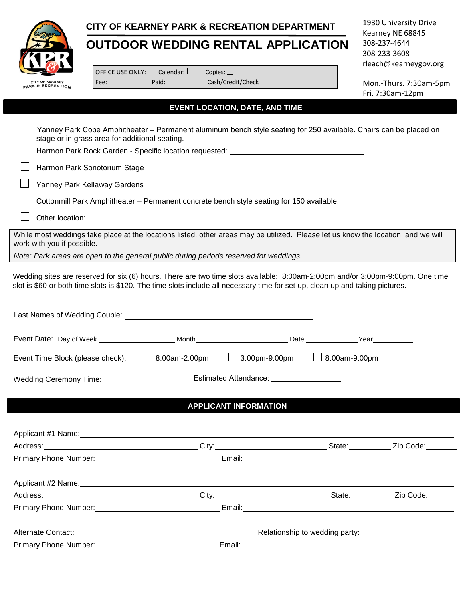

## **CITY OF KEARNEY PARK & RECREATION DEPARTMENT**

## **OUTDOOR WEDDING RENTAL APPLICATION**

1930 University Drive Kearney NE 68845 308-237-4644 308-233-3608 rleach@kearneygov.org

OFFICE USE ONLY: Calendar:  $\square$ Fee: Paid: Copies:  $\square$ Cash/Credit/Check

Mon.-Thurs. 7:30am-5pm Fri. 7:30am-12pm

## **EVENT LOCATION, DATE, AND TIME**

| Yanney Park Cope Amphitheater – Permanent aluminum bench style seating for 250 available. Chairs can be placed on<br>stage or in grass area for additional seating.                                                                                             |                              |  |
|-----------------------------------------------------------------------------------------------------------------------------------------------------------------------------------------------------------------------------------------------------------------|------------------------------|--|
| Harmon Park Rock Garden - Specific location requested: __________________________                                                                                                                                                                               |                              |  |
| Harmon Park Sonotorium Stage                                                                                                                                                                                                                                    |                              |  |
| Yanney Park Kellaway Gardens                                                                                                                                                                                                                                    |                              |  |
| Cottonmill Park Amphitheater - Permanent concrete bench style seating for 150 available.                                                                                                                                                                        |                              |  |
| Other location: Notice of the state of the state of the state of the state of the state of the state of the state of the state of the state of the state of the state of the state of the state of the state of the state of t                                  |                              |  |
| While most weddings take place at the locations listed, other areas may be utilized. Please let us know the location, and we will<br>work with you if possible.                                                                                                 |                              |  |
| Note: Park areas are open to the general public during periods reserved for weddings.                                                                                                                                                                           |                              |  |
| Wedding sites are reserved for six (6) hours. There are two time slots available: 8:00am-2:00pm and/or 3:00pm-9:00pm. One time<br>slot is \$60 or both time slots is \$120. The time slots include all necessary time for set-up, clean up and taking pictures. |                              |  |
|                                                                                                                                                                                                                                                                 |                              |  |
| Event Date: Day of Week _________________________Month___________________________Date ______________Year____________                                                                                                                                            |                              |  |
| Event Time Block (please check): $\Box$ 8:00am-2:00pm $\Box$ 3:00pm-9:00pm $\Box$ 8:00am-9:00pm                                                                                                                                                                 |                              |  |
| Wedding Ceremony Time:<br><u> Wedding Ceremony Time:</u>                                                                                                                                                                                                        |                              |  |
|                                                                                                                                                                                                                                                                 | <b>APPLICANT INFORMATION</b> |  |
|                                                                                                                                                                                                                                                                 |                              |  |
|                                                                                                                                                                                                                                                                 |                              |  |
|                                                                                                                                                                                                                                                                 |                              |  |
|                                                                                                                                                                                                                                                                 |                              |  |
|                                                                                                                                                                                                                                                                 |                              |  |
| Address: Zip Code: City: City: City: City: State: Zip Code:                                                                                                                                                                                                     |                              |  |
|                                                                                                                                                                                                                                                                 |                              |  |
| Alternate Contact: <u>New York: Alternate Contact:</u> Network and Alternate Contact: Network and Alternate Contact:                                                                                                                                            |                              |  |